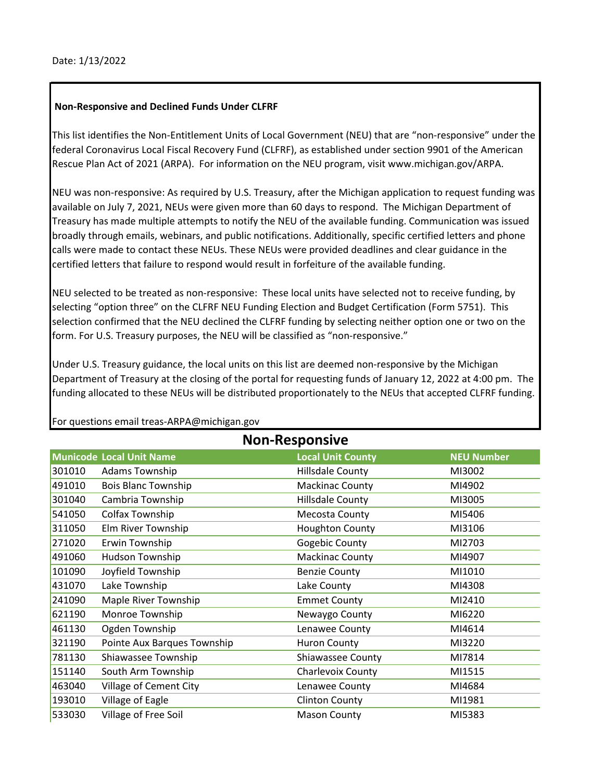## **Non-Responsive and Declined Funds Under CLFRF**

This list identifies the Non-Entitlement Units of Local Government (NEU) that are "non-responsive" under the federal Coronavirus Local Fiscal Recovery Fund (CLFRF), as established under section 9901 of the American Rescue Plan Act of 2021 (ARPA). For information on the NEU program, visit www.michigan.gov/ARPA.

NEU was non-responsive: As required by U.S. Treasury, after the Michigan application to request funding was available on July 7, 2021, NEUs were given more than 60 days to respond. The Michigan Department of Treasury has made multiple attempts to notify the NEU of the available funding. Communication was issued broadly through emails, webinars, and public notifications. Additionally, specific certified letters and phone calls were made to contact these NEUs. These NEUs were provided deadlines and clear guidance in the certified letters that failure to respond would result in forfeiture of the available funding.

NEU selected to be treated as non-responsive: These local units have selected not to receive funding, by selecting "option three" on the CLFRF NEU Funding Election and Budget Certification (Form 5751). This selection confirmed that the NEU declined the CLFRF funding by selecting neither option one or two on the form. For U.S. Treasury purposes, the NEU will be classified as "non-responsive."

Under U.S. Treasury guidance, the local units on this list are deemed non-responsive by the Michigan Department of Treasury at the closing of the portal for requesting funds of January 12, 2022 at 4:00 pm. The funding allocated to these NEUs will be distributed proportionately to the NEUs that accepted CLFRF funding.

| <b>Non-Responsive</b> |                                 |                          |                   |  |  |  |
|-----------------------|---------------------------------|--------------------------|-------------------|--|--|--|
|                       | <b>Municode Local Unit Name</b> | <b>Local Unit County</b> | <b>NEU Number</b> |  |  |  |
| 301010                | <b>Adams Township</b>           | Hillsdale County         | MI3002            |  |  |  |
| 491010                | <b>Bois Blanc Township</b>      | <b>Mackinac County</b>   | MI4902            |  |  |  |
| 301040                | Cambria Township                | Hillsdale County         | MI3005            |  |  |  |
| 541050                | Colfax Township                 | Mecosta County           | MI5406            |  |  |  |
| 311050                | Elm River Township              | <b>Houghton County</b>   | MI3106            |  |  |  |
| 271020                | Erwin Township                  | Gogebic County           | MI2703            |  |  |  |
| 491060                | <b>Hudson Township</b>          | <b>Mackinac County</b>   | MI4907            |  |  |  |
| 101090                | Joyfield Township               | <b>Benzie County</b>     | MI1010            |  |  |  |
| 431070                | Lake Township                   | Lake County              | MI4308            |  |  |  |
| 241090                | Maple River Township            | <b>Emmet County</b>      | MI2410            |  |  |  |
| 621190                | Monroe Township                 | Newaygo County           | MI6220            |  |  |  |
| 461130                | Ogden Township                  | Lenawee County           | MI4614            |  |  |  |
| 321190                | Pointe Aux Barques Township     | <b>Huron County</b>      | MI3220            |  |  |  |
| 781130                | Shiawassee Township             | <b>Shiawassee County</b> | MI7814            |  |  |  |
| 151140                | South Arm Township              | Charlevoix County        | MI1515            |  |  |  |
| 463040                | Village of Cement City          | Lenawee County           | MI4684            |  |  |  |
| 193010                | Village of Eagle                | <b>Clinton County</b>    | MI1981            |  |  |  |
| 533030                | Village of Free Soil            | <b>Mason County</b>      | MI5383            |  |  |  |

For questions email treas-ARPA@michigan.gov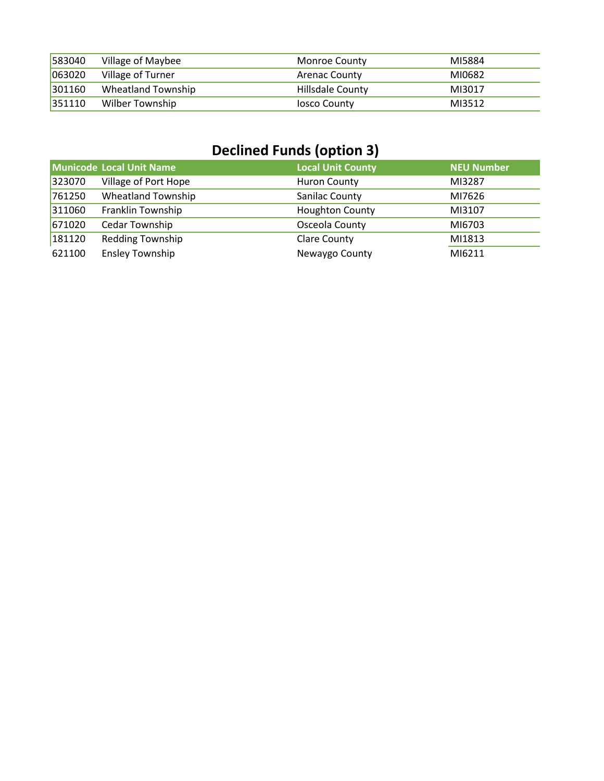| 583040 | Village of Maybee  | Monroe County    | MI5884 |
|--------|--------------------|------------------|--------|
| 063020 | Village of Turner  | Arenac County    | MI0682 |
| 301160 | Wheatland Township | Hillsdale County | MI3017 |
| 351110 | Wilber Township    | losco County     | MI3512 |

## **Declined Funds (option 3)**

|        | Municode Local Unit Name  | <b>Local Unit County</b> | <b>NEU Number</b> |
|--------|---------------------------|--------------------------|-------------------|
| 323070 | Village of Port Hope      | <b>Huron County</b>      | MI3287            |
| 761250 | <b>Wheatland Township</b> | Sanilac County           | MI7626            |
| 311060 | Franklin Township         | <b>Houghton County</b>   | MI3107            |
| 671020 | Cedar Township            | Osceola County           | MI6703            |
| 181120 | <b>Redding Township</b>   | Clare County             | MI1813            |
| 621100 | <b>Ensley Township</b>    | Newaygo County           | MI6211            |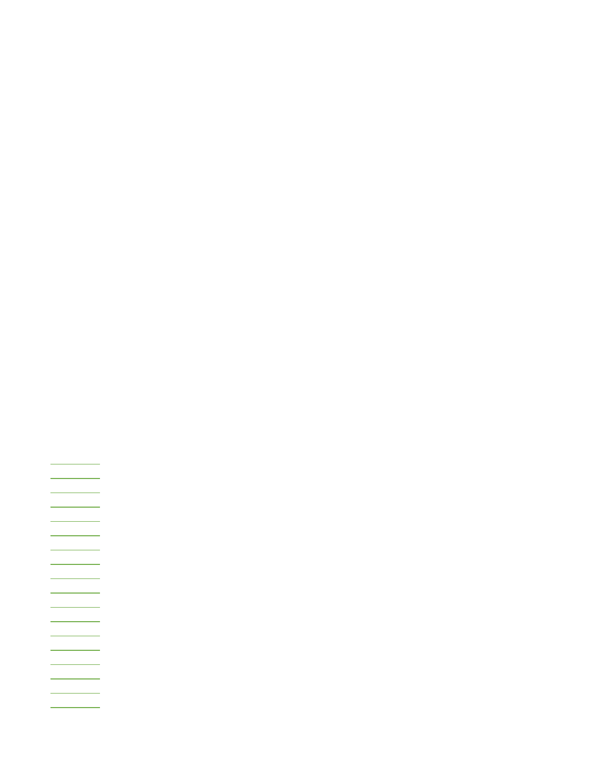$\begin{tabular}{|c|c|c|} \hline \quad \quad & \quad \quad & \quad \quad \\ \hline \quad \quad & \quad \quad & \quad \quad \\ \hline \quad \quad & \quad \quad & \quad \quad \\ \hline \quad \quad & \quad \quad & \quad \quad \\ \hline \quad \quad & \quad \quad & \quad \quad \\ \hline \quad \quad & \quad \quad & \quad \quad \\ \hline \quad \quad & \quad \quad & \quad \quad \\ \hline \end{tabular}$  $\begin{tabular}{c} \multicolumn{2}{c} {\textbf{1}}\\ \multicolumn{2}{c} {\textbf{2}}\\ \multicolumn{2}{c} {\textbf{3}}\\ \multicolumn{2}{c} {\textbf{4}}\\ \multicolumn{2}{c} {\textbf{5}}\\ \multicolumn{2}{c} {\textbf{6}}\\ \multicolumn{2}{c} {\textbf{6}}\\ \multicolumn{2}{c} {\textbf{7}}\\ \multicolumn{2}{c} {\textbf{8}}\\ \multicolumn{2}{c} {\textbf{9}}\\ \multicolumn{2}{c} {\textbf{1}}\\ \multicolumn{2}{c} {\textbf{1}}\\ \multicolumn{2}{c} {\textbf{1}}\\ \multicolumn$  $\begin{tabular}{l} \multicolumn{2}{c} {\textbf{1}} & \multicolumn{2}{c} {\textbf{1}} & \multicolumn{2}{c} {\textbf{1}} \\ \multicolumn{2}{c} {\textbf{2}} & \multicolumn{2}{c} {\textbf{3}} & \multicolumn{2}{c} {\textbf{4}} \\ \multicolumn{2}{c} {\textbf{4}} & \multicolumn{2}{c} {\textbf{5}} & \multicolumn{2}{c} {\textbf{6}} \\ \multicolumn{2}{c} {\textbf{5}} & \multicolumn{2}{c} {\textbf{6}} & \multicolumn{2}{c} {\textbf{6}} \\ \multicolumn{2}{c} {\textbf{6}} & \multicolumn$ 

 $\frac{1}{\sqrt{1-\frac{1}{2}}\left(1-\frac{1}{2}\right)}\left(\frac{1}{2}-\frac{1}{2}\right)$  $\frac{1}{\sqrt{1-\frac{1}{2}}\left(1-\frac{1}{2}\right)}\left(\frac{1}{2}-\frac{1}{2}\right)$  $\begin{tabular}{l} \multicolumn{1}{c} {\textbf{1}} & \multicolumn{1}{c} {\textbf{1}} & \multicolumn{1}{c} {\textbf{1}} \\ \multicolumn{1}{c} {\textbf{1}} & \multicolumn{1}{c} {\textbf{1}} & \multicolumn{1}{c} {\textbf{1}} \\ \multicolumn{1}{c} {\textbf{1}} & \multicolumn{1}{c} {\textbf{1}} & \multicolumn{1}{c} {\textbf{1}} \\ \multicolumn{1}{c} {\textbf{1}} & \multicolumn{1}{c} {\textbf{1}} & \multicolumn{1}{c} {\textbf{1}} \\ \multicolumn{1}{c} {\textbf{1}} & \multicolumn$  $\frac{1}{\sqrt{1-\frac{1}{2}}\left(1-\frac{1}{2}\right)}\left(\frac{1}{2}-\frac{1}{2}\right)$  $\frac{1}{1} \left( \frac{1}{1} \right)^{2} \left( \frac{1}{1} \right)^{2} \left( \frac{1}{1} \right)^{2} \left( \frac{1}{1} \right)^{2} \left( \frac{1}{1} \right)^{2} \left( \frac{1}{1} \right)^{2} \left( \frac{1}{1} \right)^{2} \left( \frac{1}{1} \right)^{2} \left( \frac{1}{1} \right)^{2} \left( \frac{1}{1} \right)^{2} \left( \frac{1}{1} \right)^{2} \left( \frac{1}{1} \right)^{2} \left( \frac{1}{1} \right)^{2} \left( \frac$